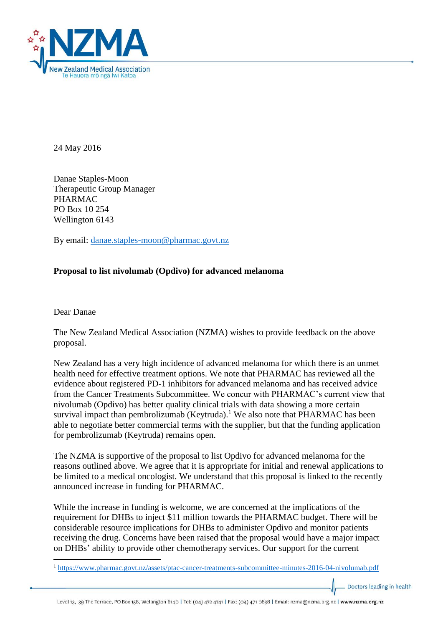

24 May 2016

Danae Staples-Moon Therapeutic Group Manager PHARMAC PO Box 10 254 Wellington 6143

By email: [danae.staples-moon@pharmac.govt.nz](mailto:danae.staples-moon@pharmac.govt.nz)

## **Proposal to list nivolumab (Opdivo) for advanced melanoma**

Dear Danae

**.** 

The New Zealand Medical Association (NZMA) wishes to provide feedback on the above proposal.

New Zealand has a very high incidence of advanced melanoma for which there is an unmet health need for effective treatment options. We note that PHARMAC has reviewed all the evidence about registered PD-1 inhibitors for advanced melanoma and has received advice from the Cancer Treatments Subcommittee. We concur with PHARMAC's current view that nivolumab (Opdivo) has better quality clinical trials with data showing a more certain survival impact than pembrolizumab (Keytruda).<sup>1</sup> We also note that PHARMAC has been able to negotiate better commercial terms with the supplier, but that the funding application for pembrolizumab (Keytruda) remains open.

The NZMA is supportive of the proposal to list Opdivo for advanced melanoma for the reasons outlined above. We agree that it is appropriate for initial and renewal applications to be limited to a medical oncologist. We understand that this proposal is linked to the recently announced increase in funding for PHARMAC.

While the increase in funding is welcome, we are concerned at the implications of the requirement for DHBs to inject \$11 million towards the PHARMAC budget. There will be considerable resource implications for DHBs to administer Opdivo and monitor patients receiving the drug. Concerns have been raised that the proposal would have a major impact on DHBs' ability to provide other chemotherapy services. Our support for the current

Doctors leading in health

<sup>1</sup> <https://www.pharmac.govt.nz/assets/ptac-cancer-treatments-subcommittee-minutes-2016-04-nivolumab.pdf>